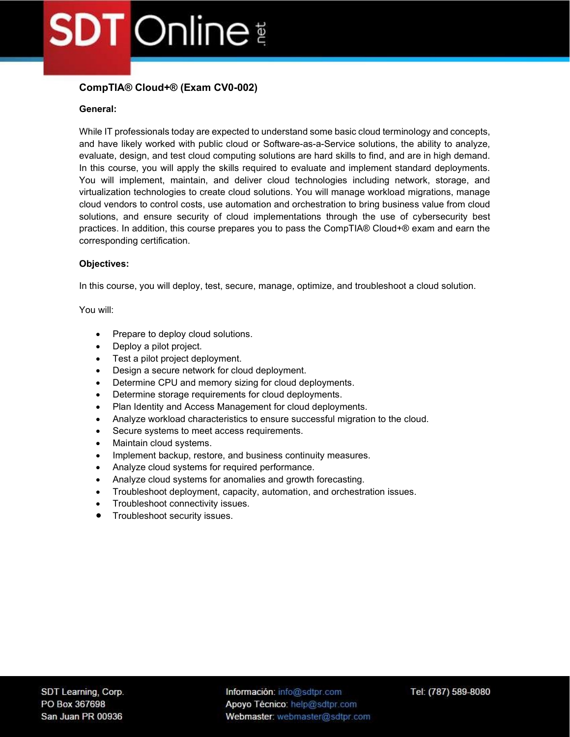## CompTIA® Cloud+® (Exam CV0-002)

#### General:

While IT professionals today are expected to understand some basic cloud terminology and concepts, and have likely worked with public cloud or Software-as-a-Service solutions, the ability to analyze, evaluate, design, and test cloud computing solutions are hard skills to find, and are in high demand. In this course, you will apply the skills required to evaluate and implement standard deployments. You will implement, maintain, and deliver cloud technologies including network, storage, and virtualization technologies to create cloud solutions. You will manage workload migrations, manage cloud vendors to control costs, use automation and orchestration to bring business value from cloud solutions, and ensure security of cloud implementations through the use of cybersecurity best practices. In addition, this course prepares you to pass the CompTIA® Cloud+® exam and earn the corresponding certification.

#### Objectives:

In this course, you will deploy, test, secure, manage, optimize, and troubleshoot a cloud solution.

You will:

- Prepare to deploy cloud solutions.
- Deploy a pilot project.
- Test a pilot project deployment.
- Design a secure network for cloud deployment.
- Determine CPU and memory sizing for cloud deployments.
- Determine storage requirements for cloud deployments.
- Plan Identity and Access Management for cloud deployments.
- Analyze workload characteristics to ensure successful migration to the cloud.
- Secure systems to meet access requirements.
- Maintain cloud systems.
- Implement backup, restore, and business continuity measures.
- Analyze cloud systems for required performance.
- Analyze cloud systems for anomalies and growth forecasting.
- Troubleshoot deployment, capacity, automation, and orchestration issues.
- Troubleshoot connectivity issues.
- Troubleshoot security issues.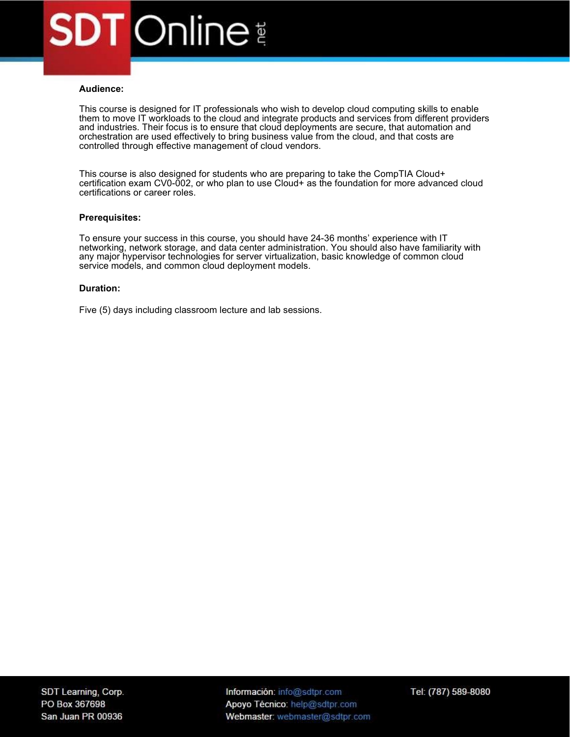#### Audience:

This course is designed for IT professionals who wish to develop cloud computing skills to enable them to move IT workloads to the cloud and integrate products and services from different providers and industries. Their focus is to ensure that cloud deployments are secure, that automation and orchestration are used effectively to bring business value from the cloud, and that costs are controlled through effective management of cloud vendors.

This course is also designed for students who are preparing to take the CompTIA Cloud+ certification exam CV0-002, or who plan to use Cloud+ as the foundation for more advanced cloud certifications or career roles.

#### Prerequisites:

To ensure your success in this course, you should have 24-36 months' experience with IT networking, network storage, and data center administration. You should also have familiarity with any major hypervisor technologies for server virtualization, basic knowledge of common cloud service models, and common cloud deployment models.

#### Duration:

Five (5) days including classroom lecture and lab sessions.

Información: info@sdtpr.com Apoyo Técnico: help@sdtpr.com Webmaster: webmaster@sdtpr.com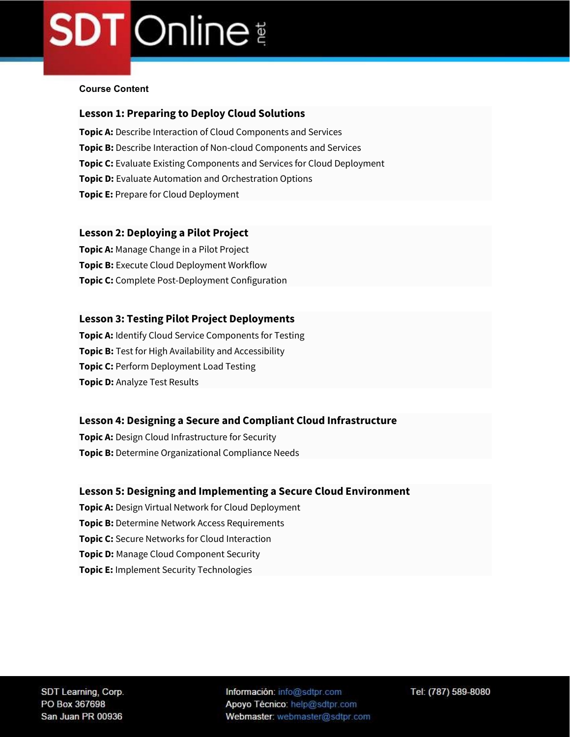#### Course Content

## Lesson 1: Preparing to Deploy Cloud Solutions

Topic A: Describe Interaction of Cloud Components and Services Topic B: Describe Interaction of Non-cloud Components and Services **Topic C:** Evaluate Existing Components and Services for Cloud Deployment **Topic D:** Evaluate Automation and Orchestration Options **Topic E: Prepare for Cloud Deployment** 

#### Lesson 2: Deploying a Pilot Project

**Topic A: Manage Change in a Pilot Project Topic B:** Execute Cloud Deployment Workflow Topic C: Complete Post-Deployment Configuration

#### Lesson 3: Testing Pilot Project Deployments

**Topic A: Identify Cloud Service Components for Testing Topic B:** Test for High Availability and Accessibility **Topic C: Perform Deployment Load Testing Topic D: Analyze Test Results** 

### Lesson 4: Designing a Secure and Compliant Cloud Infrastructure

**Topic A:** Design Cloud Infrastructure for Security Topic B: Determine Organizational Compliance Needs

### Lesson 5: Designing and Implementing a Secure Cloud Environment

- **Topic A: Design Virtual Network for Cloud Deployment**
- **Topic B:** Determine Network Access Requirements
- **Topic C:** Secure Networks for Cloud Interaction
- **Topic D:** Manage Cloud Component Security
- **Topic E:** Implement Security Technologies

Información: info@sdtpr.com Apoyo Técnico: help@sdtpr.com Webmaster: webmaster@sdtpr.com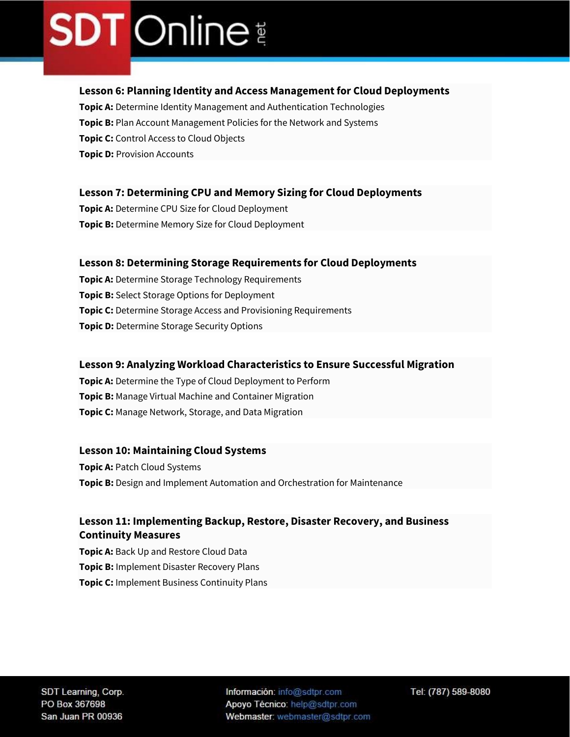### Lesson 6: Planning Identity and Access Management for Cloud Deployments

Topic A: Determine Identity Management and Authentication Technologies **Topic B:** Plan Account Management Policies for the Network and Systems **Topic C:** Control Access to Cloud Objects **Topic D: Provision Accounts** 

### Lesson 7: Determining CPU and Memory Sizing for Cloud Deployments

**Topic A: Determine CPU Size for Cloud Deployment** Topic B: Determine Memory Size for Cloud Deployment

#### Lesson 8: Determining Storage Requirements for Cloud Deployments

**Topic A: Determine Storage Technology Requirements Topic B:** Select Storage Options for Deployment **Topic C:** Determine Storage Access and Provisioning Requirements **Topic D:** Determine Storage Security Options

### Lesson 9: Analyzing Workload Characteristics to Ensure Successful Migration

Topic A: Determine the Type of Cloud Deployment to Perform **Topic B:** Manage Virtual Machine and Container Migration **Topic C:** Manage Network, Storage, and Data Migration

#### Lesson 10: Maintaining Cloud Systems

**Topic A: Patch Cloud Systems** Topic B: Design and Implement Automation and Orchestration for Maintenance

## Lesson 11: Implementing Backup, Restore, Disaster Recovery, and Business Continuity Measures

Topic A: Back Up and Restore Cloud Data **Topic B: Implement Disaster Recovery Plans Topic C:** Implement Business Continuity Plans

Información: info@sdtpr.com Apoyo Técnico: help@sdtpr.com Webmaster: webmaster@sdtpr.com